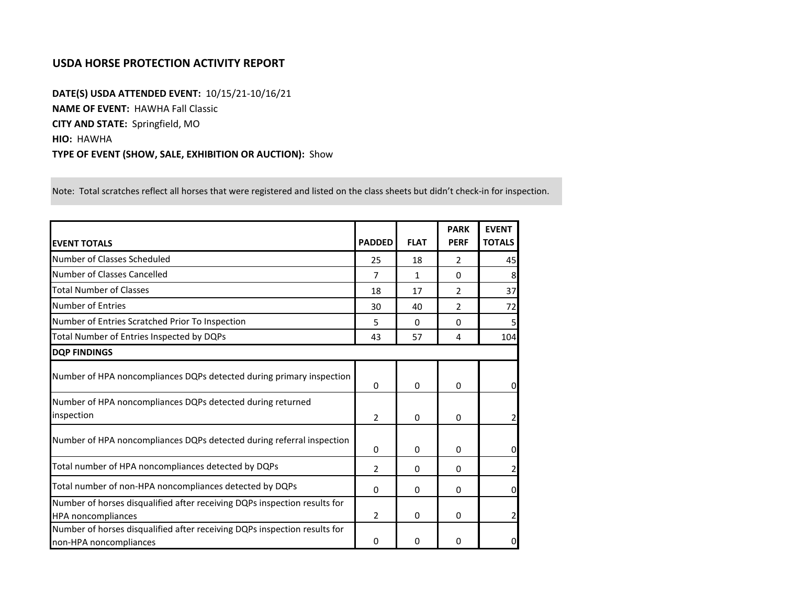## **USDA HORSE PROTECTION ACTIVITY REPORT**

**DATE(S) USDA ATTENDED EVENT:** 10/15/21-10/16/21 **NAME OF EVENT:** HAWHA Fall Classic **CITY AND STATE:** Springfield, MO **HIO:** HAWHA **TYPE OF EVENT (SHOW, SALE, EXHIBITION OR AUCTION):** Show

Note: Total scratches reflect all horses that were registered and listed on the class sheets but didn't check-in for inspection.

| <b>EVENT TOTALS</b>                                                                                    | <b>PADDED</b>  | <b>FLAT</b> | <b>PARK</b><br><b>PERF</b> | <b>EVENT</b><br><b>TOTALS</b> |
|--------------------------------------------------------------------------------------------------------|----------------|-------------|----------------------------|-------------------------------|
| Number of Classes Scheduled                                                                            | 25             | 18          | $\mathfrak{p}$             | 45                            |
| Number of Classes Cancelled                                                                            | 7              | 1           | 0                          | 8                             |
| <b>Total Number of Classes</b>                                                                         | 18             | 17          | $\mathfrak{p}$             | 37                            |
| Number of Entries                                                                                      | 30             | 40          | 2                          | 72                            |
| Number of Entries Scratched Prior To Inspection                                                        | 5              | 0           | 0                          |                               |
| Total Number of Entries Inspected by DQPs                                                              | 43             | 57          | $\overline{4}$             | 104                           |
| <b>DOP FINDINGS</b>                                                                                    |                |             |                            |                               |
| Number of HPA noncompliances DQPs detected during primary inspection                                   | 0              | 0           | $\mathbf{0}$               | $\Omega$                      |
| Number of HPA noncompliances DQPs detected during returned<br>inspection                               | 2              | 0           | $\Omega$                   |                               |
| Number of HPA noncompliances DQPs detected during referral inspection                                  | 0              | 0           | 0                          | 0                             |
| Total number of HPA noncompliances detected by DQPs                                                    | $\mathcal{P}$  | 0           | $\mathbf{0}$               |                               |
| Total number of non-HPA noncompliances detected by DQPs                                                | 0              | 0           | 0                          | $\Omega$                      |
| Number of horses disqualified after receiving DQPs inspection results for<br><b>HPA</b> noncompliances | $\overline{2}$ | 0           | $\mathbf{0}$               |                               |
| Number of horses disqualified after receiving DQPs inspection results for<br>non-HPA noncompliances    | 0              | 0           | 0                          | 0                             |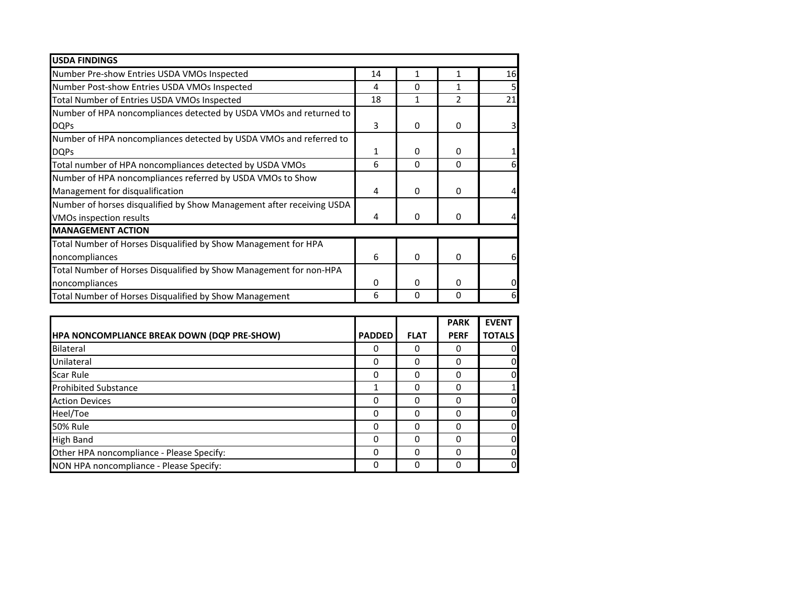| <b>USDA FINDINGS</b>                                                  |          |              |               |    |
|-----------------------------------------------------------------------|----------|--------------|---------------|----|
| Number Pre-show Entries USDA VMOs Inspected                           | 14       | 1            | 1             | 16 |
| Number Post-show Entries USDA VMOs Inspected                          | 4        | 0            | 1             |    |
| Total Number of Entries USDA VMOs Inspected                           | 18       | 1            | $\mathcal{P}$ | 21 |
| Number of HPA noncompliances detected by USDA VMOs and returned to    |          |              |               |    |
| <b>DQPs</b>                                                           | 3        | $\Omega$     | $\Omega$      |    |
| Number of HPA noncompliances detected by USDA VMOs and referred to    |          |              |               |    |
| <b>DQPs</b>                                                           | 1        | 0            | 0             |    |
| Total number of HPA noncompliances detected by USDA VMOs              | 6        | 0            | $\Omega$      | ы  |
| Number of HPA noncompliances referred by USDA VMOs to Show            |          |              |               |    |
| Management for disqualification                                       | 4        | 0            | 0             |    |
| Number of horses disqualified by Show Management after receiving USDA |          |              |               |    |
| VMOs inspection results                                               | 4        | $\mathbf{0}$ | $\Omega$      |    |
| <b>MANAGEMENT ACTION</b>                                              |          |              |               |    |
| Total Number of Horses Disqualified by Show Management for HPA        |          |              |               |    |
| noncompliances                                                        | 6        | $\mathbf{0}$ | $\Omega$      | 6  |
| Total Number of Horses Disqualified by Show Management for non-HPA    |          |              |               |    |
| noncompliances                                                        | $\Omega$ | 0            | $\Omega$      |    |
| Total Number of Horses Disqualified by Show Management                | 6        | 0            | 0             |    |

|                                             |               |             | <b>PARK</b> | <b>EVENT</b>  |
|---------------------------------------------|---------------|-------------|-------------|---------------|
| HPA NONCOMPLIANCE BREAK DOWN (DQP PRE-SHOW) | <b>PADDED</b> | <b>FLAT</b> | <b>PERF</b> | <b>TOTALS</b> |
| Bilateral                                   | 0             | 0           | o           | 0             |
| Unilateral                                  | 0             | $\Omega$    | ი           | 0             |
| Scar Rule                                   | 0             | 0           | 0           | 0             |
| <b>Prohibited Substance</b>                 |               | 0           | 0           |               |
| <b>Action Devices</b>                       | ი             | $\Omega$    |             | 0             |
| Heel/Toe                                    | 0             | 0           |             | $\mathbf 0$   |
| <b>50% Rule</b>                             | 0             | $\Omega$    |             | $\mathbf 0$   |
| <b>High Band</b>                            | 0             | $\Omega$    | ი           | $\mathbf 0$   |
| Other HPA noncompliance - Please Specify:   | 0             | 0           |             | $\mathbf 0$   |
| NON HPA noncompliance - Please Specify:     | 0             | 0           |             | $\mathbf 0$   |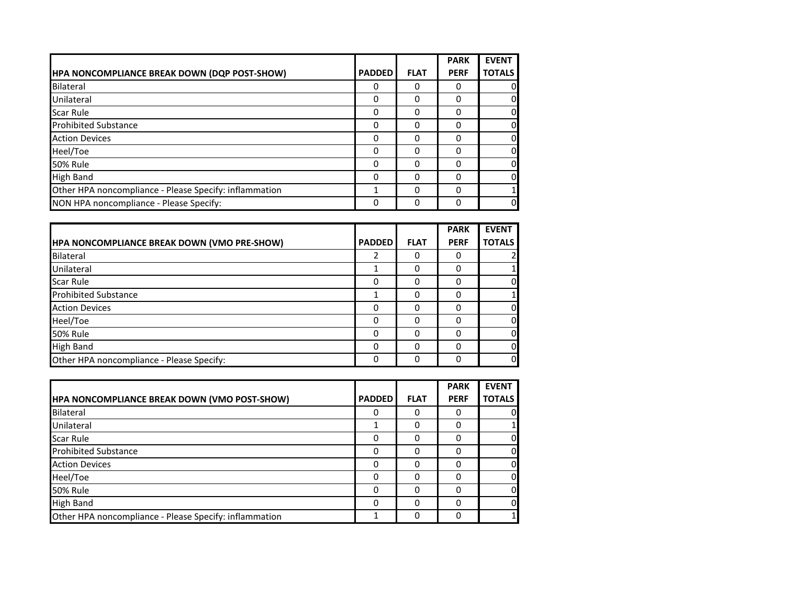|                                                        |               |             | <b>PARK</b> | <b>EVENT</b>  |
|--------------------------------------------------------|---------------|-------------|-------------|---------------|
| <b>HPA NONCOMPLIANCE BREAK DOWN (DQP POST-SHOW)</b>    | <b>PADDED</b> | <b>FLAT</b> | <b>PERF</b> | <b>TOTALS</b> |
| <b>Bilateral</b>                                       | 0             | ი           | 0           |               |
| Unilateral                                             | 0             | ი           | $\Omega$    |               |
| <b>Scar Rule</b>                                       | 0             | 0           | 0           |               |
| <b>Prohibited Substance</b>                            | 0             | 0           | $\Omega$    |               |
| <b>Action Devices</b>                                  | 0             | 0           | 0           |               |
| Heel/Toe                                               | $\Omega$      |             | 0           |               |
| <b>50% Rule</b>                                        | $\Omega$      | $\Omega$    | $\Omega$    |               |
| <b>High Band</b>                                       | 0             | 0           | 0           |               |
| Other HPA noncompliance - Please Specify: inflammation |               | ი           | 0           |               |
| NON HPA noncompliance - Please Specify:                | 0             | 0           | 0           |               |

|                                                    |               |             | <b>PARK</b> | <b>EVENT</b>  |
|----------------------------------------------------|---------------|-------------|-------------|---------------|
| <b>HPA NONCOMPLIANCE BREAK DOWN (VMO PRE-SHOW)</b> | <b>PADDED</b> | <b>FLAT</b> | <b>PERF</b> | <b>TOTALS</b> |
| Bilateral                                          | 2             | 0           |             |               |
| Unilateral                                         |               | 0           | O           |               |
| <b>Scar Rule</b>                                   | 0             | 0           |             |               |
| <b>Prohibited Substance</b>                        |               | 0           |             |               |
| <b>Action Devices</b>                              | 0             | 0           |             | o             |
| Heel/Toe                                           | $\Omega$      | 0           |             | o             |
| <b>50% Rule</b>                                    | 0             | 0           |             | 0             |
| <b>High Band</b>                                   | $\Omega$      | 0           |             | 0             |
| Other HPA noncompliance - Please Specify:          | $\Omega$      | 0           |             | 0l            |

|                                                        |               |             | <b>PARK</b> | <b>EVENT</b>  |
|--------------------------------------------------------|---------------|-------------|-------------|---------------|
| <b>HPA NONCOMPLIANCE BREAK DOWN (VMO POST-SHOW)</b>    | <b>PADDED</b> | <b>FLAT</b> | <b>PERF</b> | <b>TOTALS</b> |
| Bilateral                                              | 0             | 0           | 0           | $\mathbf 0$   |
| Unilateral                                             |               |             |             | 1             |
| Scar Rule                                              | 0             | C           | O           | $\mathbf 0$   |
| <b>Prohibited Substance</b>                            | 0             | O           |             | $\mathbf 0$   |
| <b>Action Devices</b>                                  | 0             | O           | O           | $\Omega$      |
| Heel/Toe                                               | 0             |             |             | $\mathbf 0$   |
| <b>50% Rule</b>                                        | 0             | O           | O           | $\Omega$      |
| <b>High Band</b>                                       | 0             | O           |             | $\Omega$      |
| Other HPA noncompliance - Please Specify: inflammation |               | O           | 0           | $\mathbf{1}$  |